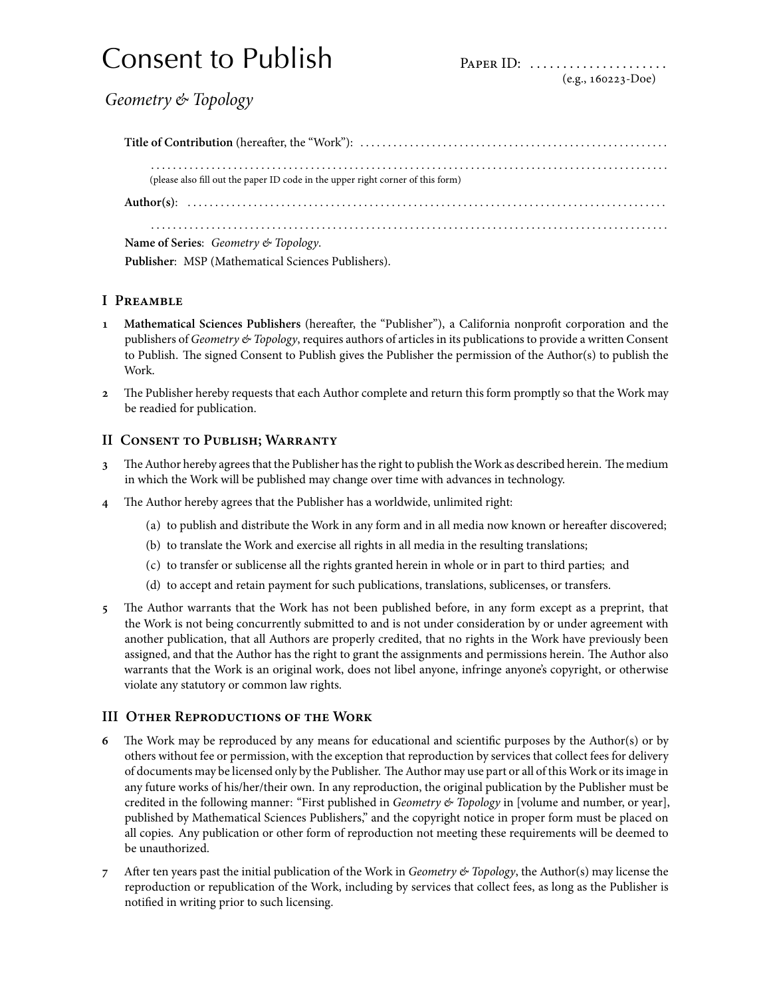# Consent to Publish Paper ID: .....................

*Geometry & Topology*

**Title of Contribution** (hereafter, the "Work"): . . . . . . . . . . . . . . . . . . . . . . . . . . . . . . . . . . . . . . . . . . . . . . . . . . . . . . . . . . . . . . . . . . . . . . . . . . . . . . . . . . . . . . . . . . . . . . . . . . . . . . . . . . . . . . . . . . . . . . . . . . . . . . . . . . . . . . . . . . . . . . . . . . . . . . (please also fill out the paper ID code in the upper right corner of this form) **Author(s)**: . . . . . . . . . . . . . . . . . . . . . . . . . . . . . . . . . . . . . . . . . . . . . . . . . . . . . . . . . . . . . . . . . . . . . . . . . . . . . . . . . . . . . . . . . . . . . . . . . . . . . . . . . . . . . . . . . . . . . . . . . . . . . . . . . . . . . . . . . . . . . . . . . . . . . . . . . . . . . . . . . . . . . . . . . . . . . . . . . . . . .

**Name of Series**: *Geometry & Topology*. **Publisher**: MSP (Mathematical Sciences Publishers).

# **I Preamble**

- **Mathematical Sciences Publishers** (hereafter, the "Publisher"), a California nonprofit corporation and the publishers of *Geometry & Topology*, requires authors of articles in its publications to provide a written Consent to Publish. The signed Consent to Publish gives the Publisher the permission of the Author(s) to publish the Work.
- 2 The Publisher hereby requests that each Author complete and return this form promptly so that the Work may be readied for publication.

## **II Consent to Publish; Warranty**

- The Author hereby agrees that the Publisher has the right to publish the Work as described herein. The medium in which the Work will be published may change over time with advances in technology.
- The Author hereby agrees that the Publisher has a worldwide, unlimited right:
	- (a) to publish and distribute the Work in any form and in all media now known or hereafter discovered;
	- (b) to translate the Work and exercise all rights in all media in the resulting translations;
	- (c) to transfer or sublicense all the rights granted herein in whole or in part to third parties; and
	- (d) to accept and retain payment for such publications, translations, sublicenses, or transfers.
- The Author warrants that the Work has not been published before, in any form except as a preprint, that the Work is not being concurrently submitted to and is not under consideration by or under agreement with another publication, that all Authors are properly credited, that no rights in the Work have previously been assigned, and that the Author has the right to grant the assignments and permissions herein. The Author also warrants that the Work is an original work, does not libel anyone, infringe anyone's copyright, or otherwise violate any statutory or common law rights.

## **III Other Reproductions of the Work**

- The Work may be reproduced by any means for educational and scientific purposes by the Author(s) or by others without fee or permission, with the exception that reproduction by services that collect fees for delivery of documents may be licensed only by the Publisher. The Author may use part or all of this Work or its image in any future works of his/her/their own. In any reproduction, the original publication by the Publisher must be credited in the following manner: "First published in *Geometry & Topology* in [volume and number, or year], published by Mathematical Sciences Publishers," and the copyright notice in proper form must be placed on all copies. Any publication or other form of reproduction not meeting these requirements will be deemed to be unauthorized.
- After ten years past the initial publication of the Work in *Geometry & Topology*, the Author(s) may license the reproduction or republication of the Work, including by services that collect fees, as long as the Publisher is notified in writing prior to such licensing.